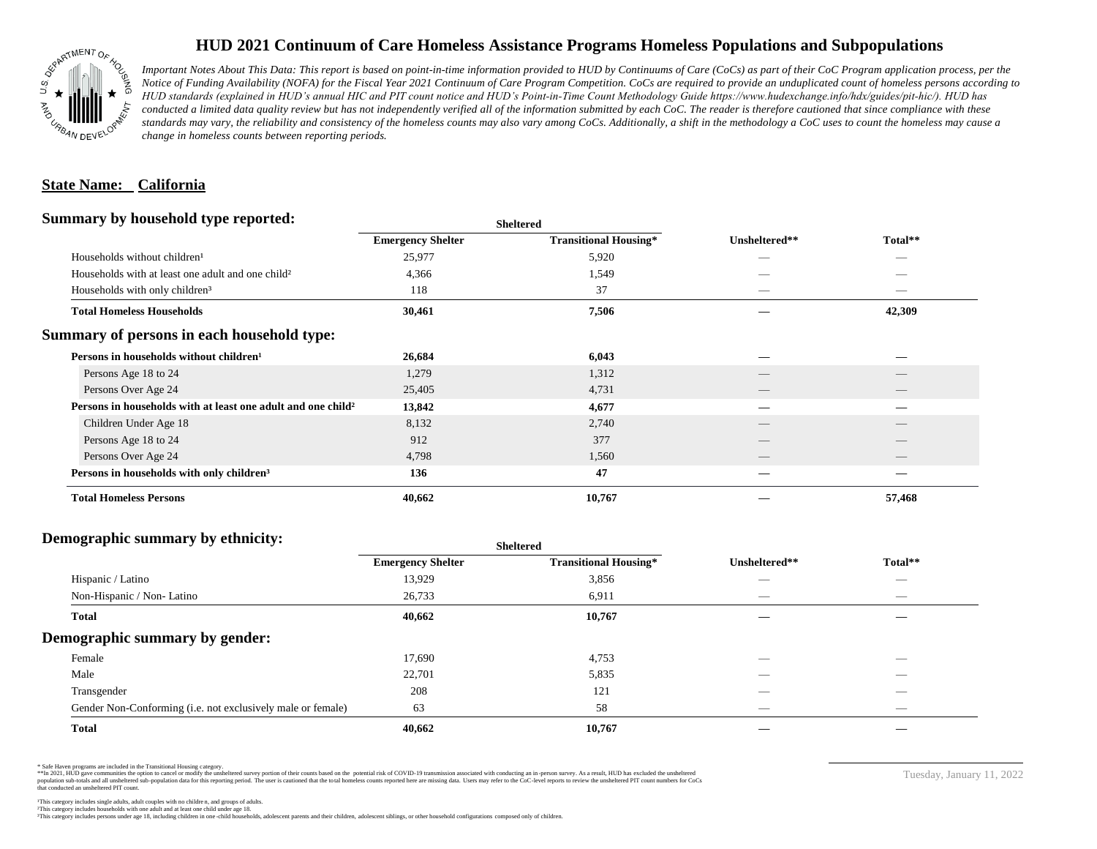

## **HUD 2021 Continuum of Care Homeless Assistance Programs Homeless Populations and Subpopulations**

*Important Notes About This Data: This report is based on point-in-time information provided to HUD by Continuums of Care (CoCs) as part of their CoC Program application process, per the Notice of Funding Availability (NOFA) for the Fiscal Year 2021 Continuum of Care Program Competition. CoCs are required to provide an unduplicated count of homeless persons according to HUD standards (explained in HUD's annual HIC and PIT count notice and HUD's Point-in-Time Count Methodology Guide https://www.hudexchange.info/hdx/guides/pit-hic/). HUD has*  conducted a limited data quality review but has not independently verified all of the information submitted by each CoC. The reader is therefore cautioned that since compliance with these standards may vary, the reliability and consistency of the homeless counts may also vary among CoCs. Additionally, a shift in the methodology a CoC uses to count the homeless may cause a *change in homeless counts between reporting periods.*

#### **State Name: California**

#### **Summary by household type reported:**

|                          |                              |                          | Total**                        |
|--------------------------|------------------------------|--------------------------|--------------------------------|
| <b>Emergency Shelter</b> | <b>Transitional Housing*</b> | Unsheltered**            |                                |
| 25,977                   | 5,920                        |                          |                                |
| 4,366                    | 1,549                        |                          |                                |
| 118                      | 37                           |                          | $\overbrace{\hspace{25mm}}^{}$ |
| 30,461                   | 7,506                        |                          | 42,309                         |
|                          |                              |                          |                                |
| 26,684                   | 6,043                        |                          |                                |
| 1,279                    | 1,312                        |                          |                                |
| 25,405                   | 4,731                        | $\overline{\phantom{a}}$ | $\qquad \qquad$                |
| 13,842                   | 4,677                        |                          |                                |
| 8,132                    | 2,740                        |                          |                                |
| 912                      | 377                          |                          |                                |
| 4,798                    | 1,560                        |                          |                                |
| 136                      | 47                           |                          |                                |
| 40,662                   | 10,767                       |                          | 57,468                         |
|                          |                              | <b>Sheltered</b>         |                                |

## **Demographic summary by ethnicity:**

| $P_{\rm{c}}$ $\sim$ $P_{\rm{c}}$ $\sim$ $P_{\rm{c}}$ $\sim$ $P_{\rm{c}}$ $\sim$ $P_{\rm{c}}$ $\sim$ $P_{\rm{c}}$ $\sim$ $P_{\rm{c}}$ $\sim$ $P_{\rm{c}}$ $\sim$ $P_{\rm{c}}$ $\sim$ $P_{\rm{c}}$ $\sim$ $P_{\rm{c}}$ $\sim$ $P_{\rm{c}}$ $\sim$ $P_{\rm{c}}$ $\sim$ $P_{\rm{c}}$ $\sim$ $P_{\rm{c}}$ |                          | <b>Sheltered</b>             |                          |                                |  |
|------------------------------------------------------------------------------------------------------------------------------------------------------------------------------------------------------------------------------------------------------------------------------------------------------|--------------------------|------------------------------|--------------------------|--------------------------------|--|
|                                                                                                                                                                                                                                                                                                      | <b>Emergency Shelter</b> | <b>Transitional Housing*</b> | Unsheltered**            | Total**                        |  |
| Hispanic / Latino                                                                                                                                                                                                                                                                                    | 13,929                   | 3,856                        | $\overline{\phantom{a}}$ | $\overbrace{\hspace{25mm}}^{}$ |  |
| Non-Hispanic / Non-Latino                                                                                                                                                                                                                                                                            | 26,733                   | 6,911                        | $\hspace{0.05cm}$        |                                |  |
| <b>Total</b>                                                                                                                                                                                                                                                                                         | 40,662                   | 10,767                       |                          |                                |  |
| Demographic summary by gender:                                                                                                                                                                                                                                                                       |                          |                              |                          |                                |  |
| Female                                                                                                                                                                                                                                                                                               | 17,690                   | 4,753                        | ___                      | $\sim$                         |  |
| Male                                                                                                                                                                                                                                                                                                 | 22,701                   | 5,835                        | $\overline{\phantom{a}}$ |                                |  |
| Transgender                                                                                                                                                                                                                                                                                          | 208                      | 121                          | $\hspace{0.05cm}$        |                                |  |
| Gender Non-Conforming (i.e. not exclusively male or female)                                                                                                                                                                                                                                          | 63                       | 58                           | $\overline{\phantom{a}}$ |                                |  |
| <b>Total</b>                                                                                                                                                                                                                                                                                         | 40,662                   | 10,767                       |                          |                                |  |

\* Safe Haven programs are included in the Transitional Housing category.

\*\*In 2021, HUD gave communities the option to cancel or modify the unsheltered survey portion of their counts based on the potential risk of COVID-19 transmission associated with conducting an in-person survey. As a result n political and distribution of the resort in the constant of the experimental and the constant of the constant of the constant of the constant of the constant of the constant of the constant of the constant of the constan that conducted an unsheltered PIT count.